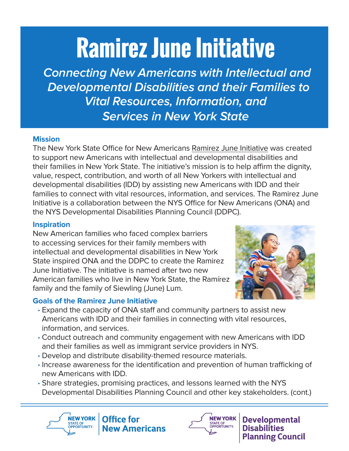# **Ramirez June Initiative**

 **Connecting New Americans with Intellectual and Developmental Disabilities and their Families to Vital Resources, Information, and Services in New York State**

### **Mission**

The New York State Office for New Americans [Ramirez June Initiative](https://www.dos.ny.gov/press/2020/ona-pr-081220.html) was created to support new Americans with intellectual and developmental disabilities and their families in New York State. The initiative's mission is to help affirm the dignity, value, respect, contribution, and worth of all New Yorkers with intellectual and developmental disabilities (IDD) by assisting new Americans with IDD and their families to connect with vital resources, information, and services. The Ramirez June Initiative is a collaboration between the NYS Office for New Americans (ONA) and the NYS Developmental Disabilities Planning Council (DDPC).

## **Inspiration**

New American families who faced complex barriers to accessing services for their family members with intellectual and developmental disabilities in New York State inspired ONA and the DDPC to create the Ramirez June Initiative. The initiative is named after two new American families who live in New York State, the Ramírez family and the family of Siewling (June) Lum.

## **Goals of the Ramirez June Initiative**



- · Expand the capacity of ONA staff and community partners to assist new Americans with IDD and their families in connecting with vital resources, information, and services.
- · Conduct outreach and community engagement with new Americans with IDD and their families as well as immigrant service providers in NYS.
- · Develop and distribute disability-themed resource materials.
- · Increase awareness for the identification and prevention of human trafficking of new Americans with IDD.
- · Share strategies, promising practices, and lessons learned with the NYS Developmental Disabilities Planning Council and other key stakeholders. (cont.)





STATE OF<br>OPPORTUNITY.